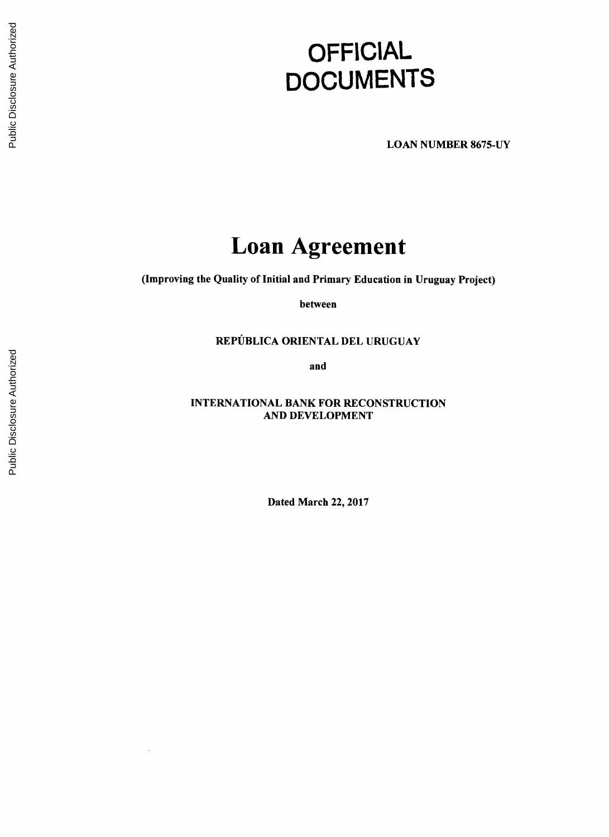# **OFFICIAL DOCUMENTS**

**LOAN NUMBER 8675-UY**

# **Loan Agreement**

(Improving the Quality **of** Initial and Primary Education in Uruguay Project)

between

# **REPUBLICA** ORIENTAL **DEL URUGUAY**

and

**INTERNATIONAL** BANK FOR **RECONSTRUCTION AND DEVELOPMENT**

Dated March 22, **2017**

 $\ddot{\phantom{a}}$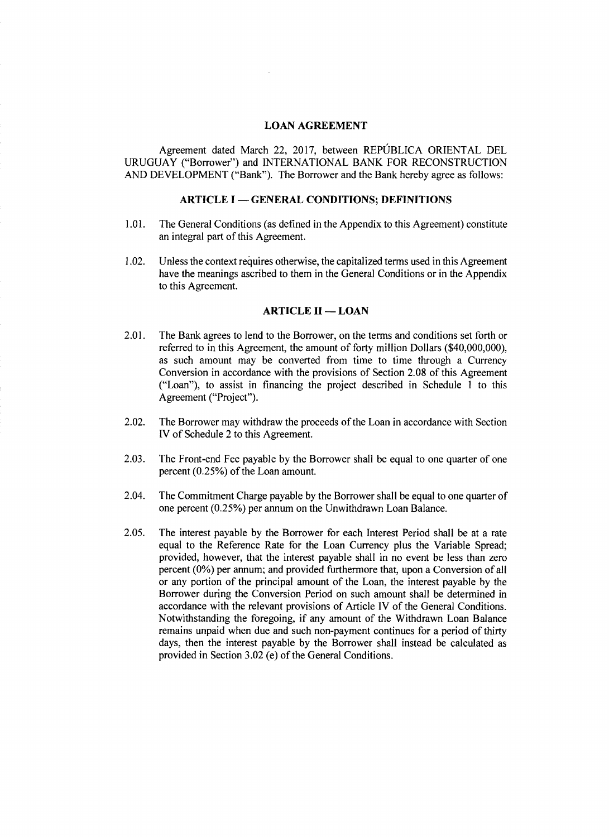### **LOAN AGREEMENT**

Agreement dated March 22, **2017,** between REPUBLICA ORIENTAL **DEL URUGUAY** ("Borrower") and **INTERNATIONAL** BANK FOR **RECONSTRUCTION AND DEVELOPMENT** ("Bank"). The Borrower and the Bank hereby agree as follows:

# **ARTICLE I - GENERAL CONDITIONS; DEFINITIONS**

- **1.01.** The General Conditions (as defined in the Appendix to this Agreement) constitute an integral part of this Agreement.
- 1.02. Unless the context requires otherwise, the capitalized terms used in this Agreement have the meanings ascribed to them in the General Conditions or in the Appendix to this Agreement.

### **ARTICLE II - LOAN**

- 2.01. The Bank agrees to lend to the Borrower, on the terms and conditions set forth or referred to in this Agreement, the amount of forty million Dollars (\$40,000,000), as such amount may be converted from time to time through a Currency Conversion in accordance with the provisions of Section 2.08 of this Agreement ("Loan"), to assist in financing the project described in Schedule 1 to this Agreement ("Project").
- 2.02. The Borrower may withdraw the proceeds of the Loan in accordance with Section IV of Schedule 2 to this Agreement.
- **2.03.** The Front-end Fee payable **by** the Borrower shall be equal to one quarter of one percent *(0.25%)* of the Loan amount.
- 2.04. The Commitment Charge payable **by** the Borrower shall be equal to one quarter of one percent *(0.25%)* per annum on the Unwithdrawn Loan Balance.
- *2.05.* The interest payable **by** the Borrower for each Interest Period shall be at a rate equal to the Reference Rate for the Loan Currency plus the Variable Spread; provided, however, that the interest payable shall in no event be less than zero percent **(0%)** per annum; and provided furthermore that, upon a Conversion of all or any portion of the principal amount of the Loan, the interest payable **by** the Borrower during the Conversion Period on such amount shall be determined in accordance with the relevant provisions of Article IV of the General Conditions. Notwithstanding the foregoing, if any amount of the Withdrawn Loan Balance remains unpaid when due and such non-payment continues for a period of thirty days, then the interest payable **by** the Borrower shall instead be calculated as provided in Section **3.02** (e) of the General Conditions.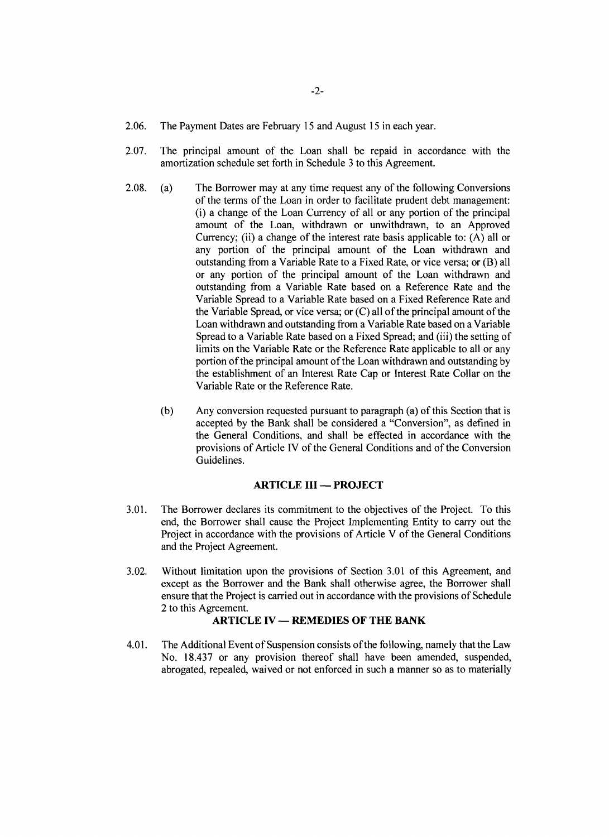- **2.06.** The Payment Dates are February **15** and August **15** in each year.
- **2.07.** The principal amount of the Loan shall be repaid in accordance with the amortization schedule set forth in Schedule **3** to this Agreement.
- **2.08.** (a) The Borrower may at any time request any of the following Conversions of the terms of the Loan in order to facilitate prudent debt management: (i) a change of the Loan Currency of all or any portion of the principal amount of the Loan, withdrawn or unwithdrawn, to an Approved Currency; (ii) a change of the interest rate basis applicable to: **(A)** all or any portion of the principal amount of the Loan withdrawn and outstanding from a Variable Rate to a Fixed Rate, or vice versa; or (B) all or any portion of the principal amount of the Loan withdrawn and outstanding from a Variable Rate based on a Reference Rate and the Variable Spread to a Variable Rate based on a Fixed Reference Rate and the Variable Spread, or vice versa; or **(C)** all of the principal amount of the Loan withdrawn and outstanding from a Variable Rate based on a Variable Spread to a Variable Rate based on a Fixed Spread; and (iii) the setting of limits on the Variable Rate or the Reference Rate applicable to all or any portion of the principal amount of the Loan withdrawn and outstanding **by** the establishment of an Interest Rate Cap or Interest Rate Collar on the Variable Rate or the Reference Rate.
	- **(b)** Any conversion requested pursuant to paragraph (a) of this Section that is accepted **by** the Bank shall be considered a "Conversion", as defined in the General Conditions, and shall be effected in accordance with the provisions of Article **IV** of the General Conditions and of the Conversion Guidelines.

#### **ARTICLE III - PROJECT**

- **3.01.** The Borrower declares its commitment to the objectives of the Project. To this end, the Borrower shall cause the Project Implementing Entity to carry out the Project in accordance with the provisions of Article V of the General Conditions and the Project Agreement.
- **3.02.** Without limitation upon the provisions of Section **3.01** of this Agreement, and except as the Borrower and the Bank shall otherwise agree, the Borrower shall ensure that the Project is carried out in accordance with the provisions of Schedule 2 to this Agreement.

#### **ARTICLE IV - REMEDIES OF THE BANK**

4.01. The Additional Event of Suspension consists of the following, namely that the Law No. **18.437** or any provision thereof shall have been amended, suspended, abrogated, repealed, waived or not enforced in such a manner so as to materially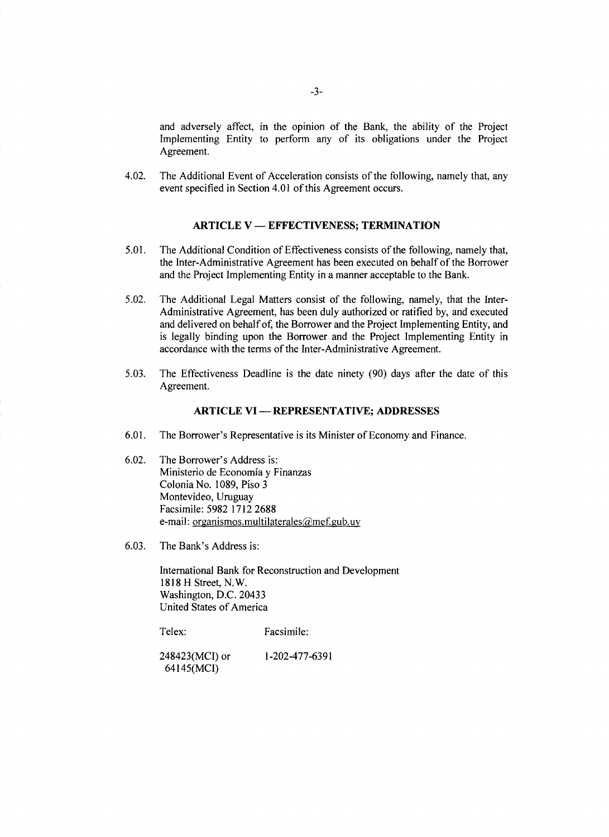and adversely affect, in the opinion of the Bank, the ability of the Project Implementing Entity to perform any of its obligations under the Project Agreement.

4.02. The Additional Event of Acceleration consists of the following, namely that, any event specified in Section 4.01 of this Agreement occurs.

# **ARTICLE V - EFFECTIVENESS; TERMINATION**

- *5.01.* The Additional Condition of Effectiveness consists of the following, namely that, the Inter-Administrative Agreement has been executed on behalf of the Borrower and the Project Implementing Entity in a manner acceptable to the Bank.
- **5.02.** The Additional Legal Matters consist of the following, namely, that the Inter-Administrative Agreement, has been duly authorized or ratified **by,** and executed and delivered on behalf of, the Borrower and the Project Implementing Entity, and is legally binding upon the Borrower and the Project Implementing Entity in accordance with the terms of the Inter-Administrative Agreement.
- *5.03.* The Effectiveness Deadline is the date ninety **(90)** days after the date of this Agreement.

#### **ARTICLE VI - REPRESENTATIVE; ADDRESSES**

- **6.01.** The Borrower's Representative is its Minister of Economy and Finance.
- **6.02.** The Borrower's Address is: Ministerio de Economia **y** Finanzas Colonia No. **1089,** Piso **3** Montevideo, Uruguay Facsimile: **5982 1712 2688** e-mail: organismos.multilaterales $@$ mef.gub.uv
- **6.03.** The Bank's Address is:

International Bank for Reconstruction and Development **1818** H Street, N.W. Washington, **D.C.** 20433 United States of America

Telex: Facsimile:

248423(MCI) or **1-202-477-6391** 64145(MCI)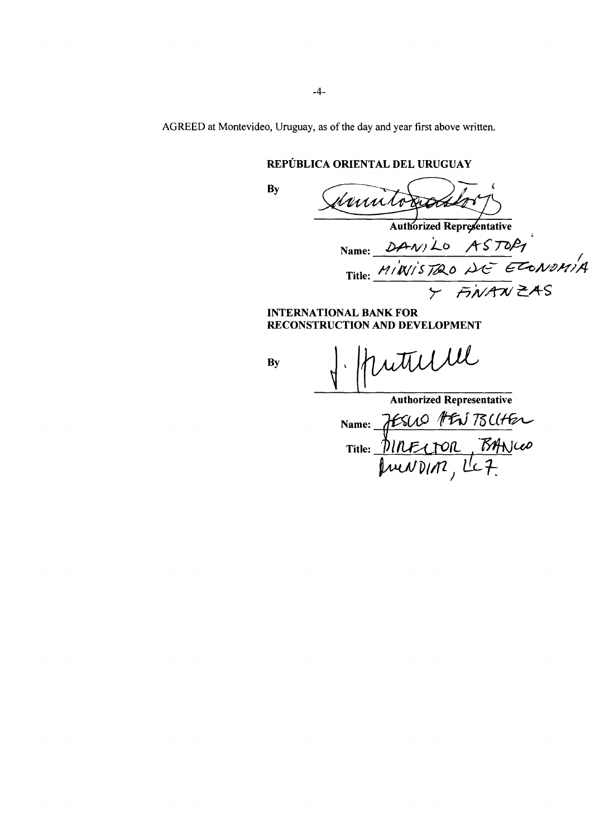AGREED at Montevideo, Uruguay, as of the day and year first above written.

# REPUBLICA ORIENTAL **DEL URUGUAY**

**By**

Marito Authorized Representative

Name: Title:  $T^{7774}$  $\frac{1}{\sqrt{2N}}$  ZAS

**INTERNATIONAL** BANK FOR **RECONSTRUCTION AND DEVELOPMENT**

**By**

ntulle

Authorized Representative Name: 7ESCO PEN 75CC Title: *'6 x,(-oa-*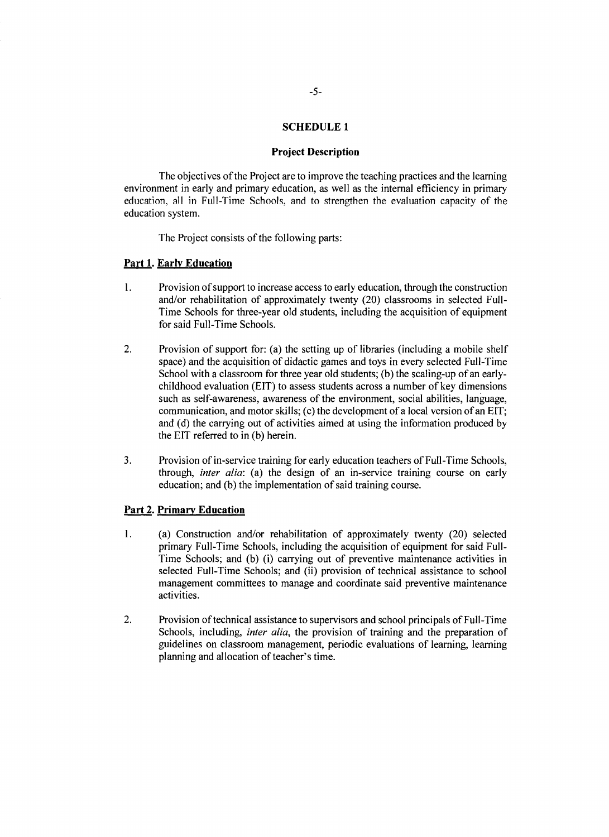#### **Project Description**

The objectives of the Project are to improve the teaching practices and the learning<br>environment in early and primary education, as well as the internal efficiency in primary<br>education, all in Full-Time Schools, and to str education system.

The Project consists of the following parts:

# Part 1. **Early Education**

- **1.** Provision of support to increase access to early education, through the construction and/or rehabilitation of approximately twenty (20) classrooms in selected Full-Time Schools for three-year old students, including the acquisition of equipment for said Full-Time Schools.
- 2. Provision of support for: (a) the setting up of libraries (including a mobile shelf space) and the acquisition of didactic games and toys in every selected Full-Time School with a classroom for three year old students; **(b)** the scaling-up of an early- childhood evaluation **(EIT)** to assess students across a number of key dimensions such as self-awareness, awareness of the environment, social abilities, language, communication, and motor skills; (c) the development of a local version of an EIT; and (d) the carrying out of activities aimed at using the
- 3. Provision of in-service training for early education teachers of Full-Time Schools, through, *inter alia*: (a) the design of an in-service training course on early education; and (b) the implementation of said training

# **Part** 2. **Primary Education**

- 1. (a) Construction and/or rehabilitation of approximately twenty (20) selected primary Full-Time Schools, including the acquisition of equipment for said Full-Time Schools; and **(b)** (i) carrying out of preventive maintenance activities in selected Full-Time Schools; and (ii) provision of technical assistance to school management committees to manage and coordinate said preventive maintenance activities.
- 2. Provision of technical assistance to supervisors and school principals of Full-Time Schools, including, *inter alia,* the provision of training and the preparation of guidelines on classroom management, periodic evaluations of learning, learning planning and allocation of teacher's time.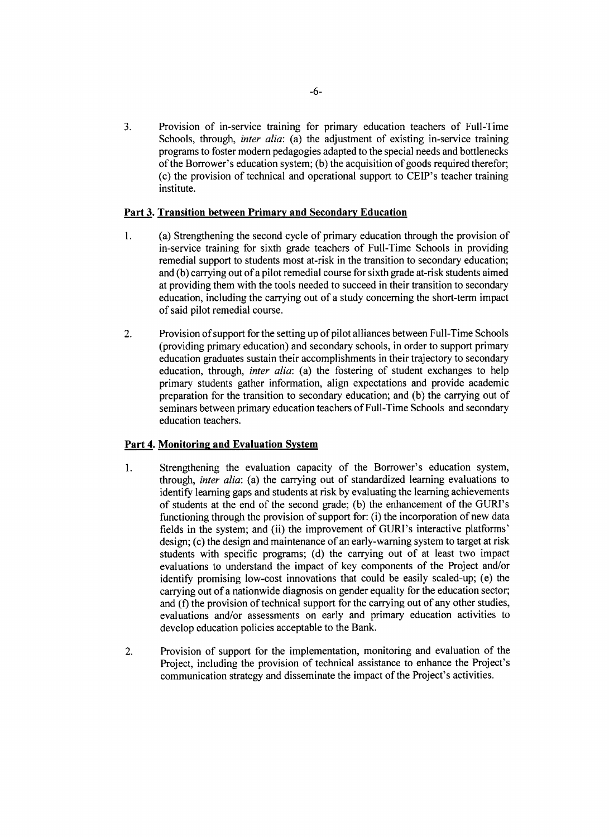**3.** Provision of in-service training for primary education teachers of Full-Time Schools, through, *inter alia*: (a) the adjustment of existing in-service training programs to foster modem pedagogies adapted to the special needs and bottlenecks of the Borrower's education system; **(b)** the acquisition of goods required therefor; (c) the provision of technical and operational support to CEIP's teacher training institute.

# **Part 3.** Transition between **Primary and Secondary Education**

- 1 **. (a)** Strengthening the second cycle of primary education through the provision of in-service training for sixth grade teachers of Full-Time Schools in providing remedial support to students most at-risk in the transition to secondary education; and **(b)** carrying out of a pilot remedial course for sixth grade at-risk students aimed at providing them with the tools needed to succeed in their transition to secondary education, including the carrying out of a study concerning the short-term impact of said pilot remedial course.
- 2. Provision of support for the setting up of pilot alliances between Full-Time Schools (providing primary education) and secondary schools, in order to support primary education graduates sustain their accomplishments in their trajectory to secondary education, through, *inter alia:* (a) the fostering of student exchanges to help primary students gather information, align expectations and provide academic preparation for the transition to secondary education; and **(b)** the carrying out of seminars between primary education teachers of Full-Time Schools and secondary education teachers.

# **Part 4. Monitoring and Evaluation System**

- **1.** Strengthening the evaluation capacity of the Borrower's education system, through, *inter alia:* (a) the carrying out of standardized learning evaluations to identify learning gaps and students at risk **by** evaluating the learning achievements of students at the end of the second grade; **(b)** the enhancement of the GURI's functioning through the provision of support for: (i) the incorporation of new data fields in the system; and (ii) the improvement of GURI's interactive platforms' design; (c) the design and maintenance of an early-warning system to target at risk students with specific programs; **(d)** the carrying out of at least two impact evaluations to understand the impact of key components of the Project and/or identify promising low-cost innovations that could be easily scaled-up; (e) the carrying out of a nationwide diagnosis on gender equality for the education sector; and **(f)** the provision of technical support for the carrying out of any other studies, evaluations and/or assessments on early and primary education activities to develop education policies acceptable to the Bank.
- 2. Provision of support for the implementation, monitoring and evaluation of the Project, including the provision of technical assistance to enhance the Project's communication strategy and disseminate the impact of the Project's activities.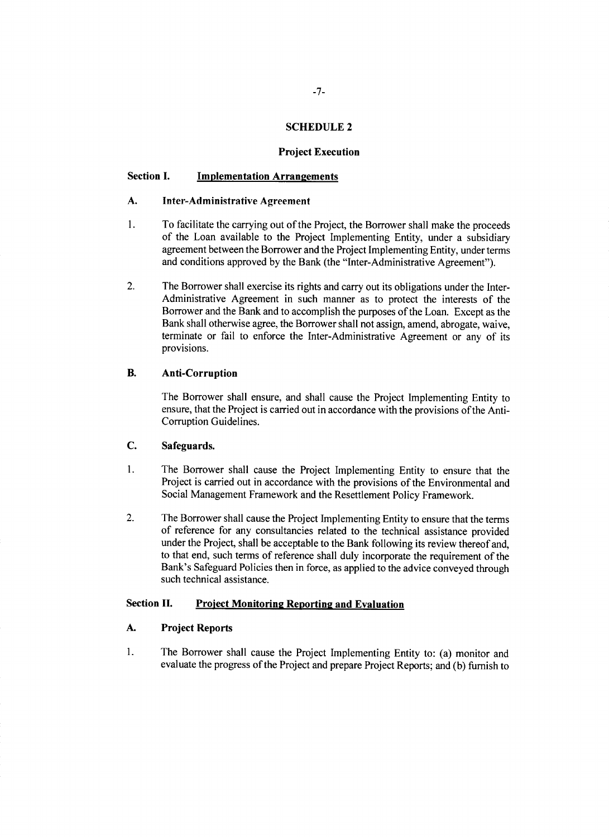#### **Project Execution**

#### **Section I. Implementation Arrangements**

#### **A. Inter-Administrative Agreement**

- **1. To** facilitate the carrying out of the Project, the Borrower shall make the proceeds of the Loan available to the Project Implementing Entity, under a subsidiary agreement between the Borrower and the Project Implementing Entity, under terms and conditions approved **by** the Bank (the "Inter-Administrative Agreement").
- 2. The Borrower shall exercise its rights and carry out its obligations under the Inter-Administrative Agreement in such manner as to protect the interests of the Borrower and the Bank and to accomplish the purposes of the Loan. Except as the Bank shall otherwise agree, the Borrower shall not assign, amend, abrogate, waive, terminate or fail to enforce the Inter-Administrative Agreement or any of its provisions.

# B. **Anti-Corruption**

The Borrower shall ensure, and shall cause the Project Implementing Entity to ensure, that the Project is carried out in accordance with the provisions of the Anti-Corruption Guidelines.

# **C.** Safeguards.

- 1. The Borrower shall cause the Project Implementing Entity to ensure that the Project is carried out in accordance with the provisions of the Environmental and Social Management Framework and the Resettlement Policy Framework.
- 2. The Borrower shall cause the Project Implementing Entity to ensure that the terms of reference for any consultancies related to the technical assistance provided under the Project, shall be acceptable to the Bank following its review thereof and, to that end, such terms of reference shall duly incorporate the requirement of the Bank's Safeguard Policies then in force, as applied to the advice conveyed through such technical assistance.

# **Section II.** Project Monitoring Reporting and Evaluation

#### **A. Project Reports**

**1.** The Borrower shall cause the Project Implementing Entity to: (a) monitor and evaluate the progress of the Project and prepare Project Reports; and **(b)** furnish to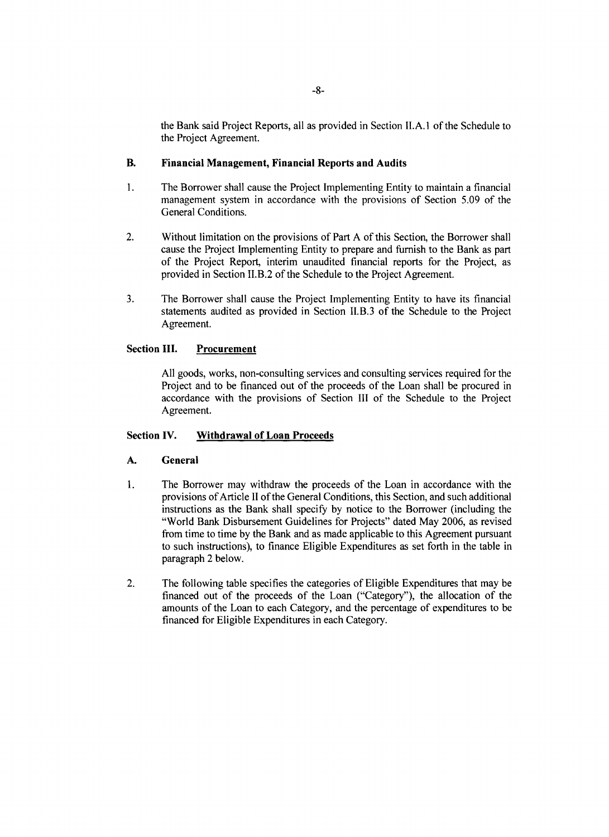the Bank said Project Reports, all as provided in Section **II.A.1** of the Schedule to the Project Agreement.

# B. **Financial Management, Financial Reports and Audits**

- **1.** The Borrower shall cause the Project Implementing Entity to maintain a financial management system in accordance with the provisions of Section **5.09** of the General Conditions.
- 2. Without limitation on the provisions of Part **A** of this Section, the Borrower shall cause the Project Implementing Entity to prepare and furnish to the Bank as part of the Project Report, interim unaudited financial reports for the Project, as provided in Section II.B.2 of the Schedule to the Project Agreement.
- **3.** The Borrower shall cause the Project Implementing Entity to have its financial statements audited as provided in Section II.B.3 of the Schedule to the Project Agreement.

# **Section III. Procurement**

**All** goods, works, non-consulting services and consulting services required for the Project and to be financed out of the proceeds of the Loan shall be procured in accordance with the provisions of Section **III** of the Schedule to the Project Agreement.

#### **Section IV. Withdrawal of Loan Proceeds**

#### **A. General**

- **1.** The Borrower may withdraw the proceeds of the Loan in accordance with the provisions of Article II of the General Conditions, this Section, and such additional instructions as the Bank shall specify **by** notice to the Borrower (including the "World Bank Disbursement Guidelines for Projects" dated May **2006,** as revised from time to time **by** the Bank and as made applicable to this Agreement pursuant to such instructions), to finance Eligible Expenditures as set forth in the table in paragraph 2 below.
- 2. The following table specifies the categories of Eligible Expenditures that may be financed out of the proceeds of the Loan ("Category"), the allocation of the amounts of the Loan to each Category, and the percentage of expenditures to be financed for Eligible Expenditures in each Category.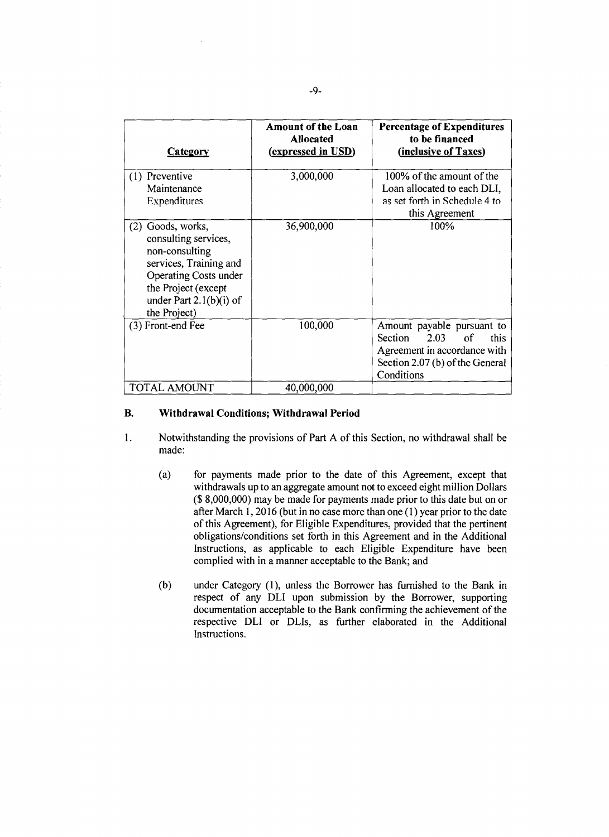| <b>Category</b>                                                                                                                                                                              | <b>Amount of the Loan</b><br><b>Allocated</b><br>(expressed in USD) | <b>Percentage of Expenditures</b><br>to be financed<br>(inclusive of Taxes)                                                                  |
|----------------------------------------------------------------------------------------------------------------------------------------------------------------------------------------------|---------------------------------------------------------------------|----------------------------------------------------------------------------------------------------------------------------------------------|
| (1) Preventive<br>Maintenance<br>Expenditures                                                                                                                                                | 3,000,000                                                           | 100% of the amount of the<br>Loan allocated to each DLI,<br>as set forth in Schedule 4 to<br>this Agreement                                  |
| Goods, works,<br>(2)<br>consulting services,<br>non-consulting<br>services, Training and<br><b>Operating Costs under</b><br>the Project (except<br>under Part $2.1(b)(i)$ of<br>the Project) | 36,900,000                                                          | 100%                                                                                                                                         |
| (3) Front-end Fee                                                                                                                                                                            | 100,000                                                             | Amount payable pursuant to<br>2.03<br>Section<br>of<br>this<br>Agreement in accordance with<br>Section 2.07 (b) of the General<br>Conditions |
| <b>TOTAL AMOUNT</b>                                                                                                                                                                          | 40,000,000                                                          |                                                                                                                                              |

#### B. **Withdrawal Conditions; Withdrawal Period**

- <sup>1</sup>**.** Notwithstanding the provisions of Part **A** of this Section, no withdrawal shall be made:
	- (a) for payments made prior to the date of this Agreement, except that withdrawals up to an aggregate amount not to exceed eight million Dollars **(\$ 8,000,000)** may be made for payments made prior to this date but on or after March **1, 2016** (but in no case more than one **(1)** year prior to the date of this Agreement), for Eligible Expenditures, provided that the pertinent obligations/conditions set forth in this Agreement and in the Additional Instructions, as applicable to each Eligible Expenditure have been complied with in a manner acceptable to the Bank; and
	- **(b)** under Category **(1),** unless the Borrower has furnished to the Bank in documentation acceptable to the Bank confirming the achievement of the respective DLI or DLIs, as further elaborated in the Additional Instructions.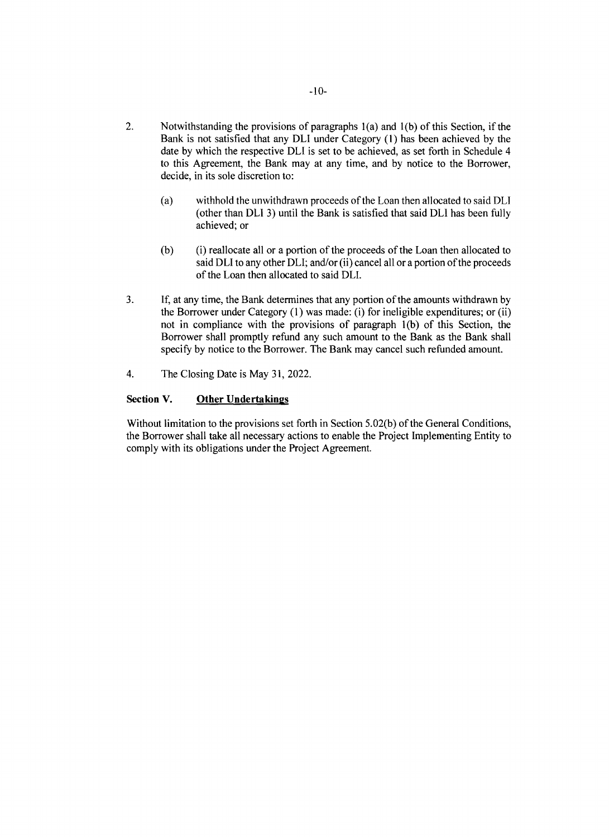- 2. Notwithstanding the provisions of paragraphs 1(a) and **1(b)** of this Section, if the Bank is not satisfied that any DLI under Category **(1)** has been achieved **by** the date **by** which the respective DLI is set to be achieved, as set forth in Schedule 4 to this Agreement, the Bank may at any time, and **by** notice to the Borrower, decide, in its sole discretion to:
	- (a) withhold the unwithdrawn proceeds of the Loan then allocated to said DLI (other than DL1 **3)** until the Bank is satisfied that said DL1 has been fully achieved; or
	- **(b)** (i) reallocate all or a portion of the proceeds of the Loan then allocated to said DLI to any other DLI; and/or (ii) cancel all or a portion of the proceeds of the Loan then allocated to said DLI.
- **3. If,** at any time, the Bank determines that any portion of the amounts withdrawn **by** the Borrower under Category **(1)** was made: (i) for ineligible expenditures; or (ii) not in compliance with the provisions of paragraph **1(b)** of this Section, the Borrower shall promptly refund any such amount to the Bank as the Bank shall specify **by** notice to the Borrower. The Bank may cancel such refunded amount.
- 4. The Closing Date is May **31,** 2022.

# Section **V. Other Undertakings**

Without limitation to the provisions set forth in Section **5.02(b)** of the General Conditions, the Borrower shall take all necessary actions to enable the Project Implementing Entity to comply with its obligations under the Project Agreement.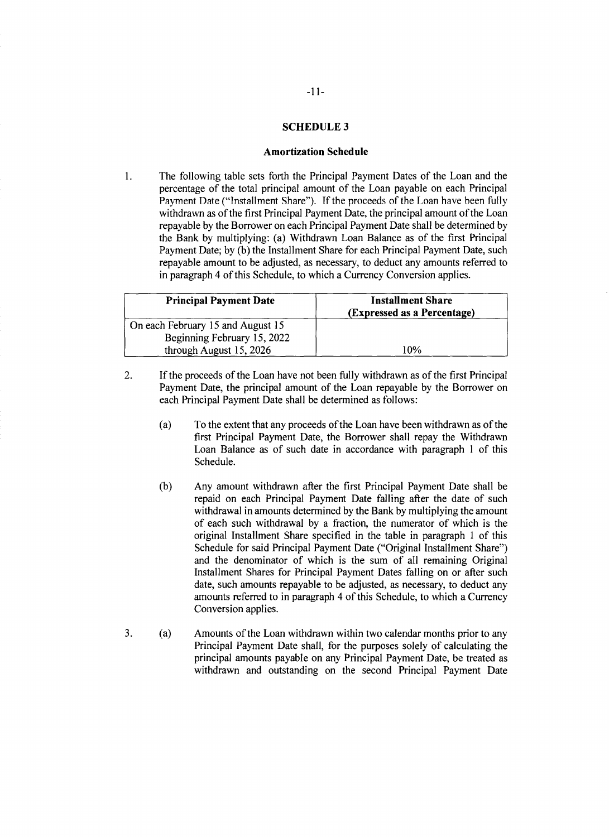#### **Amortization Schedule**

1. The following table sets forth the Principal Payment Dates of the Loan and the percentage of the total principal amount of the Loan payable on each Principal Payment Date ("Installment Share"). If the proceeds of the Loan have been fully withdrawn as of the first Principal Payment Date, the principal amount of the Loan repayable by the Borrower on each Principal Payment Date sh the Bank by multiplying: (a) Withdrawn Loan Balance as of the first Principal<br>Payment Date; by (b) the Installment Share for each Principal Payment Date, such repayable amount to be adjusted, as necessary, to deduct any amounts referred to in paragraph 4 of this Schedule, to which a Currency Conversion applies.

| <b>Principal Payment Date</b>     | <b>Installment Share</b><br>(Expressed as a Percentage) |
|-----------------------------------|---------------------------------------------------------|
| On each February 15 and August 15 |                                                         |
| Beginning February 15, 2022       |                                                         |
| through August 15, 2026           | 10%                                                     |

- 2. **If** the proceeds of the Loan have not been fully withdrawn as of the first Principal Payment Date, the principal amount of the Loan repayable **by** the Borrower on each Principal Payment Date shall be determined as follows:
	- (a) To the extent that any proceeds of the Loan have been withdrawn as of the first Principal Payment Date, the Borrower shall repay the Withdrawn Loan Balance as of such date in accordance with paragraph **I** of this Schedule.
	- **(b)** Any amount withdrawn after the first Principal Payment Date shall be repaid on each Principal Payment Date falling after the date of such withdrawal in amounts determined **by** the Bank **by** multiplying the amount of each such withdrawal **by** a fraction, the numerator of which is the original Installment Share specified in the table in paragraph **I** of this Schedule for said Principal Payment Date ("Original Installment Share") and the denominator of which is the sum of all remaining Original Installment Shares for Principal Payment Dates falling on or after such date, such amounts repayable to be adjusted, as necessary, to deduct any amounts referred to in paragraph 4 of this Schedule, to which a Currency Conversion applies.
- **3.** (a) Amounts of the Loan withdrawn within two calendar months prior to any Principal Payment Date shall, for the purposes solely of calculating the principal amounts payable on any Principal Payment Date, be treated as withdrawn and outstanding on the second Principal Payment Date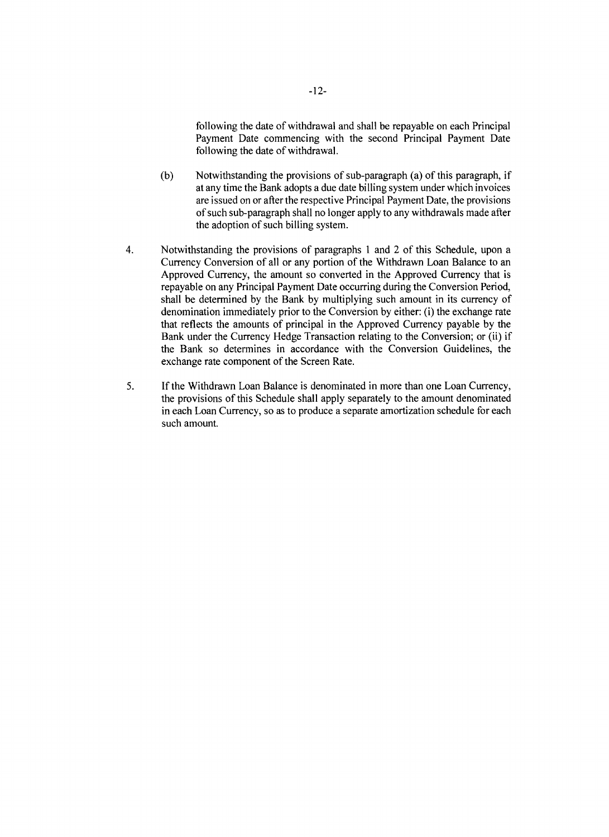following the date of withdrawal and shall be repayable on each Principal Payment Date commencing with the second Principal Payment Date following the date of withdrawal.

- **(b)** Notwithstanding the provisions of sub-paragraph (a) of this paragraph, if at any time the Bank adopts a due date billing system under which invoices are issued on or after the respective Principal Payment Date, the provisions of such sub-paragraph shall no longer apply to any withdrawals made after the adoption of such billing system.
- 4. Notwithstanding the provisions of paragraphs **I** and 2 of this Schedule, upon a Currency Conversion of all or any portion of the Withdrawn Loan Balance to an Approved Currency, the amount so converted in the Approved Currency that is repayable on any Principal Payment Date occurring during the Conversion Period, shall be determined **by** the Bank **by** multiplying such amount in its currency of denomination immediately prior to the Conversion **by** either: (i) the exchange rate that reflects the amounts of principal in the Approved Currency payable **by** the Bank under the Currency Hedge Transaction relating to the Conversion; or (ii) if the Bank so determines in accordance with the Conversion Guidelines, the exchange rate component of the Screen Rate.
- **5. If** the Withdrawn Loan Balance is denominated in more than one Loan Currency, the provisions of this Schedule shall apply separately to the amount denominated in each Loan Currency, so as to produce a separate amortization schedule for each such amount.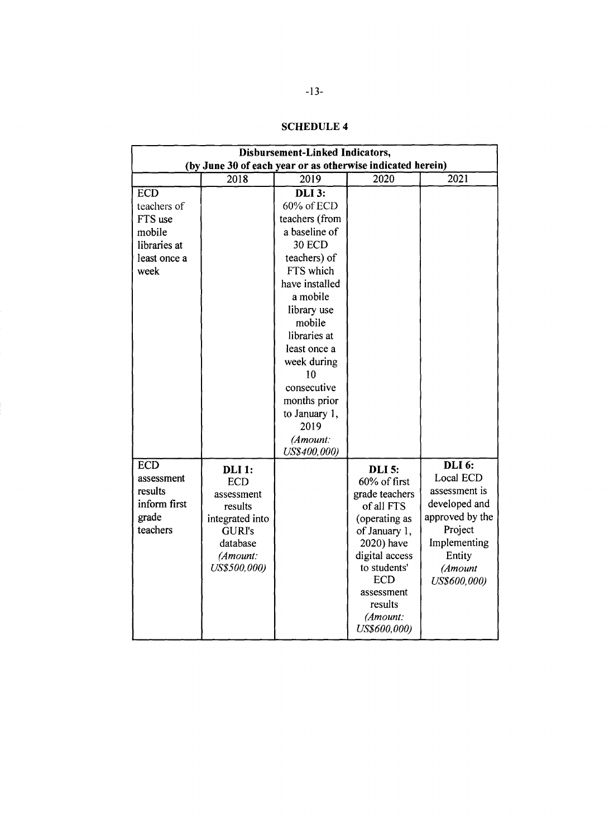| Disbursement-Linked Indicators,                            |                 |                |                |                     |  |  |  |
|------------------------------------------------------------|-----------------|----------------|----------------|---------------------|--|--|--|
| (by June 30 of each year or as otherwise indicated herein) |                 |                |                |                     |  |  |  |
|                                                            | 2018            | 2019           | 2020           | 2021                |  |  |  |
| <b>ECD</b>                                                 |                 | <b>DLI 3:</b>  |                |                     |  |  |  |
| teachers of                                                |                 | 60% of ECD     |                |                     |  |  |  |
| FTS use                                                    |                 | teachers (from |                |                     |  |  |  |
| mobile                                                     |                 | a baseline of  |                |                     |  |  |  |
| libraries at                                               |                 | <b>30 ECD</b>  |                |                     |  |  |  |
| least once a                                               |                 | teachers) of   |                |                     |  |  |  |
| week                                                       |                 | FTS which      |                |                     |  |  |  |
|                                                            |                 | have installed |                |                     |  |  |  |
|                                                            |                 | a mobile       |                |                     |  |  |  |
|                                                            |                 | library use    |                |                     |  |  |  |
|                                                            |                 | mobile         |                |                     |  |  |  |
|                                                            |                 | libraries at   |                |                     |  |  |  |
|                                                            |                 | least once a   |                |                     |  |  |  |
|                                                            |                 | week during    |                |                     |  |  |  |
|                                                            |                 | 10             |                |                     |  |  |  |
|                                                            |                 | consecutive    |                |                     |  |  |  |
|                                                            |                 | months prior   |                |                     |  |  |  |
|                                                            |                 | to January 1,  |                |                     |  |  |  |
|                                                            |                 | 2019           |                |                     |  |  |  |
|                                                            |                 | (Amount:       |                |                     |  |  |  |
|                                                            |                 | US\$400,000)   |                |                     |  |  |  |
| <b>ECD</b>                                                 | <b>DLI</b> 1:   |                | <b>DLI</b> 5:  | $\overline{DLI}$ 6: |  |  |  |
| assessment                                                 | <b>ECD</b>      |                | 60% of first   | Local ECD           |  |  |  |
| results                                                    | assessment      |                | grade teachers | assessment is       |  |  |  |
| inform first                                               | results         |                | of all FTS     | developed and       |  |  |  |
| grade                                                      | integrated into |                | (operating as  | approved by the     |  |  |  |
| teachers                                                   | <b>GURI's</b>   |                | of January 1,  | Project             |  |  |  |
|                                                            | database        |                | 2020) have     | Implementing        |  |  |  |
|                                                            | (Amount:        |                | digital access | Entity              |  |  |  |
|                                                            | US\$500,000)    |                | to students'   | (Amount             |  |  |  |
|                                                            |                 |                | <b>ECD</b>     | US\$600,000)        |  |  |  |
|                                                            |                 |                | assessment     |                     |  |  |  |
|                                                            |                 |                | results        |                     |  |  |  |
|                                                            |                 |                | (Amount:       |                     |  |  |  |
|                                                            |                 |                | US\$600,000)   |                     |  |  |  |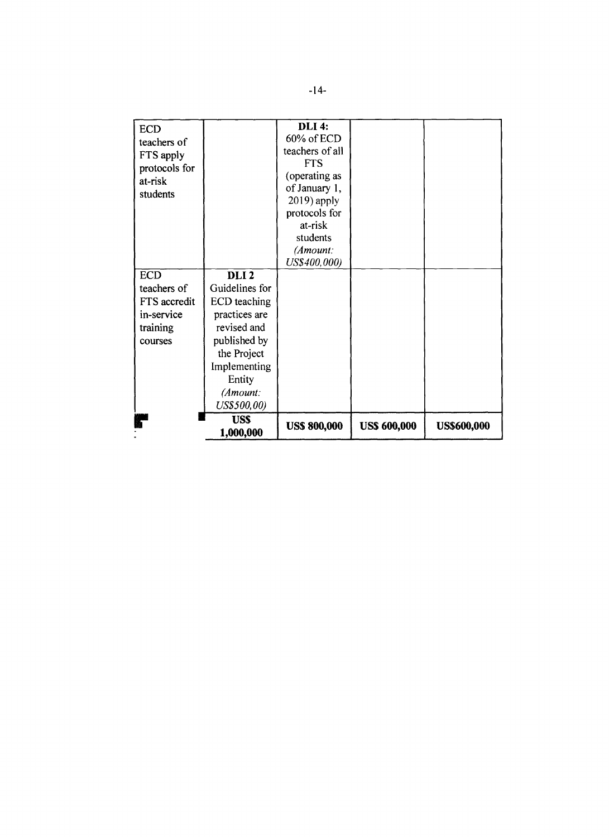| <b>ECD</b><br>teachers of<br>FTS apply<br>protocols for<br>at-risk<br>students |                          | <b>DLI 4:</b><br>60% of ECD<br>teachers of all<br><b>FTS</b><br>(operating as<br>of January 1,<br>$2019$ ) apply<br>protocols for<br>at-risk<br>students<br>(Amount:<br>US\$400,000) |                     |                    |
|--------------------------------------------------------------------------------|--------------------------|--------------------------------------------------------------------------------------------------------------------------------------------------------------------------------------|---------------------|--------------------|
| <b>ECD</b>                                                                     | DLI <sub>2</sub>         |                                                                                                                                                                                      |                     |                    |
| teachers of                                                                    | Guidelines for           |                                                                                                                                                                                      |                     |                    |
| FTS accredit                                                                   | ECD teaching             |                                                                                                                                                                                      |                     |                    |
| in-service                                                                     | practices are            |                                                                                                                                                                                      |                     |                    |
| training                                                                       | revised and              |                                                                                                                                                                                      |                     |                    |
| courses                                                                        | published by             |                                                                                                                                                                                      |                     |                    |
|                                                                                | the Project              |                                                                                                                                                                                      |                     |                    |
|                                                                                | Implementing             |                                                                                                                                                                                      |                     |                    |
|                                                                                | Entity                   |                                                                                                                                                                                      |                     |                    |
|                                                                                | (Amount:                 |                                                                                                                                                                                      |                     |                    |
|                                                                                | US\$500,00)              |                                                                                                                                                                                      |                     |                    |
|                                                                                | <b>US\$</b><br>1,000,000 | <b>US\$ 800,000</b>                                                                                                                                                                  | <b>US\$ 600,000</b> | <b>US\$600,000</b> |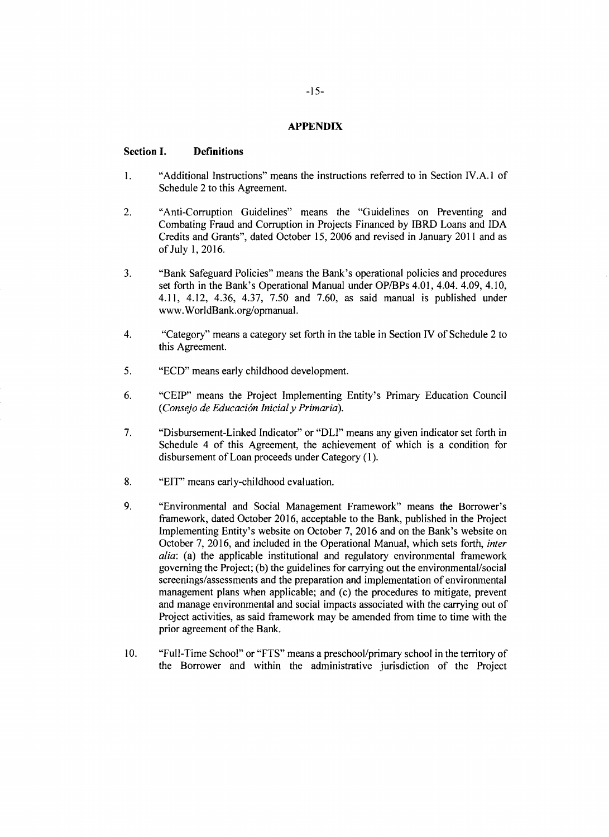#### **APPENDIX**

#### **Section I. Definitions**

- 1. "Additional Instructions" means the instructions referred to in Section **TV.A.** 1 of Schedule 2 to this Agreement.
- 2. "Anti-Corruption Guidelines" means the "Guidelines on Preventing and Combating Fraud and Corruption in Projects Financed **by** IBRD Loans and **IDA** Credits and Grants", dated October *15,* **2006** and revised in January 2011 and as of July **1, 2016.**
- 3. "Bank Safeguard Policies" means the Bank's operational policies and procedures set forth in the Bank's Operational Manual under OP/BPs 4.01, 4.04. 4.09, 4.10, 4.11, 4.12, 4.36, 4.37, 7.50 and 7.60, as said manual is pub
- 4. "Category" means a category set forth in the table in Section IV of Schedule 2 to this Agreement.
- *5.* **"ECD"** means early childhood development.
- **6. "CEIP"** means the Project Implementing Entity's Primary Education Council *(Consejo de Educaci6n Inicialy Primaria).*
- **7.** "Disbursement-Linked Indicator" or "DLI" means any given indicator set forth in Schedule 4 of this Agreement, the achievement of which is a condition for disbursement of Loan proceeds under Category **(1).**
- **8. "EIT"** means early-childhood evaluation.
- **9.** "Environmental and Social Management Framework" means the Borrower's Implementing Entity's website on October 7, 2016 and on the Bank's website on October 7, 2016, and included in the Operational Manual, which sets forth, *inter alia*: (a) the applicable institutional and regulatory environ screenings/assessments and the preparation and implementation of environmental management plans when applicable; and (c) the procedures to mitigate, prevent and manage environmental and social impacts associated with the carrying out of Project activities, as said framework may be amended from time to time with the prior agreement of the Bank.
- **10.** "Full-Time School" or **"FTS"** means a preschool/primary school in the territory of the Borrower and within the administrative jurisdiction of the Project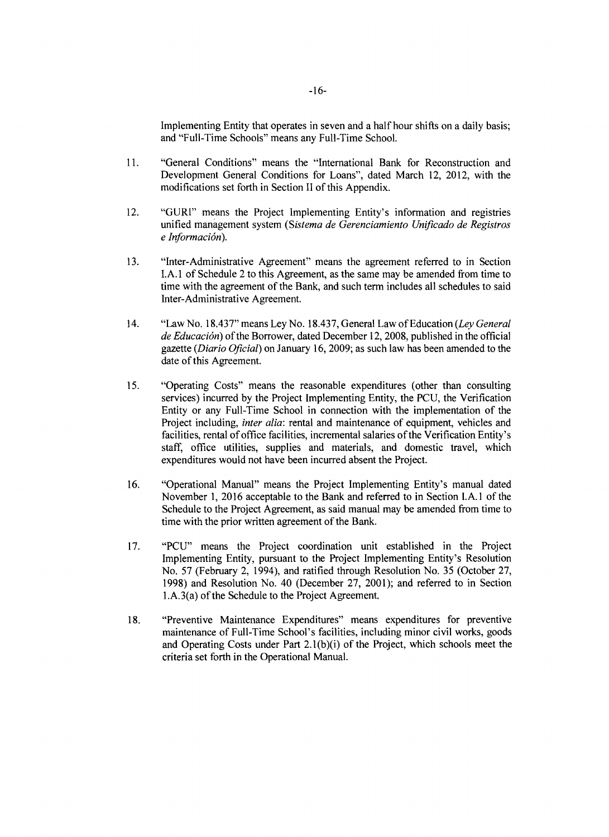Implementing Entity that operates in seven and a half hour shifts on a daily basis; and "Full-Time Schools" means any Full-Time School.

- **11.** "General Conditions" means the "International Bank for Reconstruction and Development General Conditions for Loans", dated March 12, 2012, with the modifications set forth in Section II of this Appendix.
- 12. **"GURI"** means the Project Implementing Entity's information and registries unified management system *(Sistema de Gerenciamiento Unificado de Registros*  $e$ *Información*).
- **13.** "Inter-Administrative Agreement" means the agreement referred to in Section **I.A.** 1 of Schedule 2 to this Agreement, as the same may be amended from time to time with the agreement of the Bank, and such term includes all schedules to said Inter-Administrative Agreement.
- 14. "Law No. **18.437"** means Ley No. **18.437,** General Law of Education *(Ley General de Educaci6n)* of the Borrower, dated December 12, **2008,** published in the official gazette *(Diario Oficial)* on January **16, 2009;** as such law has been amended to the date of this Agreement.
- **15.** "Operating Costs" means the reasonable expenditures (other than consulting services) incurred **by** the Project Implementing Entity, the **PCU,** the Verification Entity or any Full-Time School in connection with the implementation of the Project including, *inter alia:* rental and maintenance of equipment, vehicles and facilities, rental of office facilities, incremental salaries of the Verification Entity's staff, office utilities, supplies and materials, and domestic travel, which expenditures would not have been incurred absent the Project.
- **16.** "Operational Manual" means the Project Implementing Entity's manual dated November **1, 2016** acceptable to the Bank and referred to in Section **I.A.1** of the Schedule to the Project Agreement, as said manual may be amended from time to time with the prior written agreement of the Bank.
- **17. "PCU"** means the Project coordination unit established in the Project Implementing Entity, pursuant to the Project Implementing Entity's Resolution No. **57** (February 2, 1994), and ratified through Resolution No. **35** (October **27, 1998)** and Resolution No. 40 (December **27,** 2001); and referred to in Section 1.A.3(a) of the Schedule to the Project Agreement.
- **18.** "Preventive Maintenance Expenditures" means expenditures for preventive maintenance of Full-Time School's facilities, including minor civil works, goods and Operating Costs under Part 2.1(b)(i) of the Project, which schools meet the criteria set forth in the Operational Manual.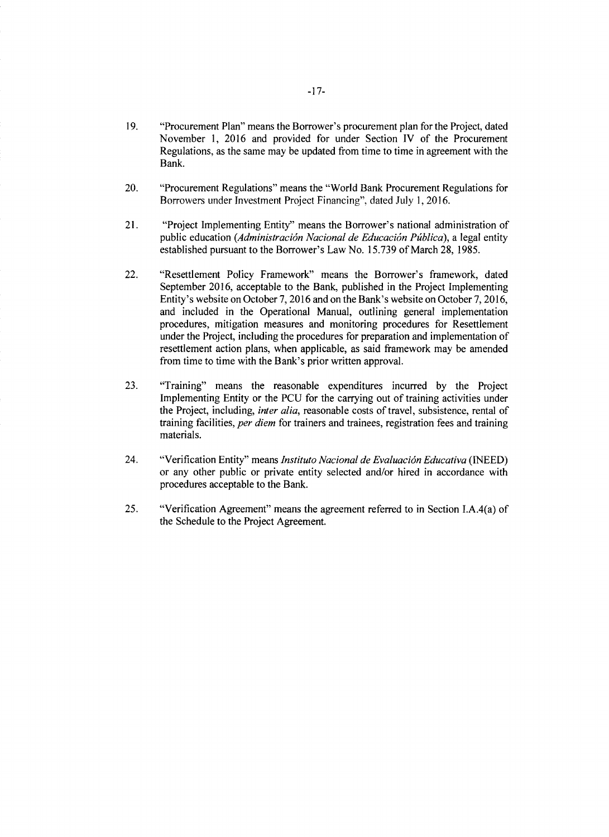- **19.** "Procurement Plan" means the Borrower's procurement plan for the Project, dated November **1, 2016** and provided for under Section IV of the Procurement Regulations, as the same may be updated from time to time in agreement with the Bank.
- 20. "Procurement Regulations" means the "World Bank Procurement Regulations for Borrowers under Investment Project Financing", dated July **1, 2016.**
- 21. "Project Implementing Entity" means the Borrower's national administration of public education (*Administración Nacional de Educación Pública*), a legal entity public education *(Administracidn Nacional de Educacidn P blica),* a legal entity established pursuant to the Borrower's Law No. **15.739** of March **28,** *1985.*
- 22. "Resettlement Policy Framework" means the Borrower's framework, dated September 2016, acceptable to the Bank, published in the Project Implementing<br>Entity's website on October 7, 2016 and on the Bank's website on October 7, 2016,<br>and included in the Operational Manual, outlining general impl under the Project, including the procedures for preparation and implementation of resettlement action plans, when applicable, as said framework may be amended from time to time with the Bank's prior written approval.
- **23.** "Training" means the reasonable expenditures incurred **by** the Project Implementing Entity or the **PCU** for the carrying out of training activities under training facilities, *per diem* for trainers and trainees, registration fees and training materials.
- 24. "Verification Entity" means *Instituto Nacional de Evaluaci6n Educativa (INEED)* or any other public or private entity selected and/or hired in accordance with procedures acceptable to the Bank.
- *25.* "Verification Agreement" means the agreement referred to in Section I.A.4(a) of the Schedule to the Project Agreement.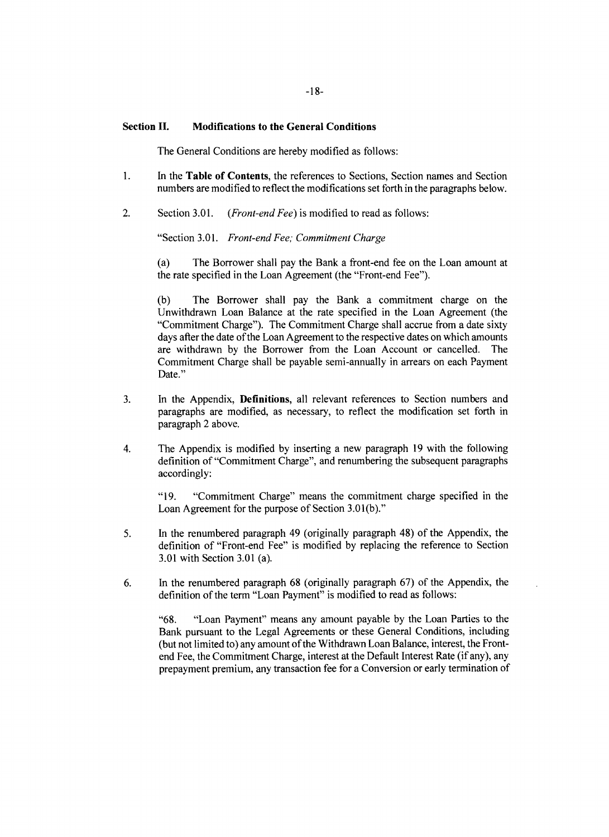#### **Section II. Modifications to the General Conditions**

The General Conditions are hereby modified as follows:

- 1. In the **Table of Contents,** the references to Sections, Section names and Section numbers are modified to reflect the modifications set forth in the paragraphs below.
- 2. Section **3.01.** *(Front-end Fee)* is modified to read as follows:

"Section 3.01. *Front-end Fee; Commitment Charge*

(a) The Borrower shall pay the Bank a front-end fee on the Loan amount at the rate specified in the Loan Agreement (the "Front-end Fee").

**(b)** The Borrower shall pay the Bank a commitment charge on the Unwithdrawn Loan Balance at the rate specified in the Loan Agreement (the "Commitment Charge"). The Commitment Charge shall accrue from a date sixty days after the date of the Loan Agreement to the respective dates on which amounts are withdrawn by the Borrower from the Loan Account or cancelled. The are withdrawn by the Borrower from the Loan Account or cancelled. Commitment Charge shall be payable semi-annually in arrears on each Payment Date."

- **3.** In the Appendix, **Definitions,** all relevant references to Section numbers and paragraphs are modified, as necessary, to reflect the modification set forth in paragraph 2 above.
- 4. The Appendix is modified **by** inserting a new paragraph **19** with the following definition of "Commitment Charge", and renumbering the subsequent paragraphs accordingly:

**"19.** "Commitment Charge" means the commitment charge specified in the Loan Agreement for the purpose of Section **3.01(b)."**

- *5.* In the renumbered paragraph 49 (originally paragraph 48) of the Appendix, the definition of "Front-end Fee" is modified **by** replacing the reference to Section **3.01** with Section **3.01** (a).
- **6.** In the renumbered paragraph **68** (originally paragraph **67)** of the Appendix, the definition of the term "Loan Payment" is modified to read as follows:

**"68.** "Loan Payment" means any amount payable **by** the Loan Parties to the Bank pursuant to the Legal Agreements or these General Conditions, including (but not limited to) any amount of the Withdrawn Loan Balance, interest, the Frontend Fee, the Commitment Charge, interest at the Default Interest Rate (if any), any prepayment premium, any transaction fee for a Conversion or early termination of